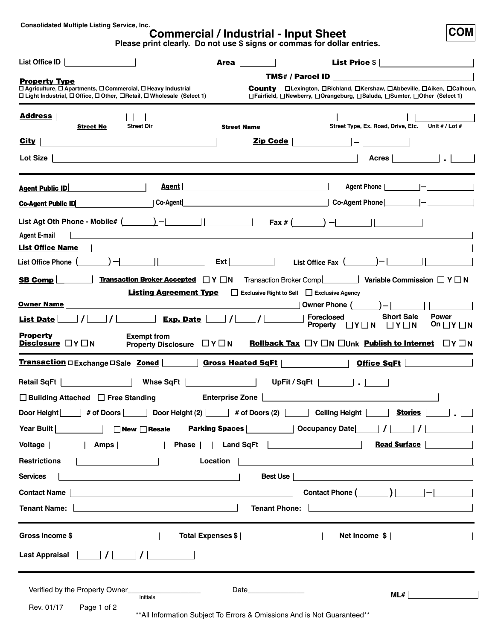**Consolidated Multiple Listing Service, Inc.**

# **Commercial / Industrial - Input Sheet**

**Please print clearly. Do not use \$ signs or commas for dollar entries.**

**COM**

| List Office ID<br>Area                                                                                                                                 | <b>List Price <math>\frac{1}{2}</math></b>                                                                                                     |
|--------------------------------------------------------------------------------------------------------------------------------------------------------|------------------------------------------------------------------------------------------------------------------------------------------------|
| <b>Property Type</b><br>□ Agriculture, □ Apartments, □ Commercial, □ Heavy Industrial                                                                  | <b>TMS# / Parcel ID</b><br>Countv<br>□Lexington, □Richland, □Kershaw, □Abbeville, □Aiken, □Calhoun,                                            |
| □ Light Industrial, □ Office, □ Other, □ Retail, □ Wholesale (Select 1)                                                                                | □Fairfield, □Newberry, □Orangeburg, □Saluda, □Sumter, □Other (Select 1)                                                                        |
| <b>Address</b><br><b>Street Dir</b><br><b>Street No</b>                                                                                                | Street Type, Ex. Road, Drive, Etc. Unit # / Lot #<br><b>Street Name</b>                                                                        |
| <u>City</u>                                                                                                                                            | $\mathbf{Zip Code}$                                                                                                                            |
| Acres        <br>Lot Size $ $<br><u>and the state of the state of the state of the state of the state of the state of the state of the state of th</u> |                                                                                                                                                |
| Agent  <br><b>Agent Public ID</b>                                                                                                                      | Agent Phone            <br><u> 1980 - Johann Barn, mars eta bainar eta baina eta baina eta baina eta baina eta baina eta baina eta baina e</u> |
| Co-Agent<br><b>Co-Agent Public ID</b>                                                                                                                  |                                                                                                                                                |
| <b>Agent E-mail</b><br><u> 1980 - Johann John Stone, markin film ar yn y brenin y brenin y brenin y brenin y brenin y brenin y brenin y</u>            |                                                                                                                                                |
| <b>List Office Name</b>                                                                                                                                |                                                                                                                                                |
| List Office Phone (                                                                                                                                    | $\mathsf{Ext}$  <br>List Office Fax (                                                                                                          |
| <b>Transaction Broker Accepted <math>\Box</math> Y <math>\Box</math> N</b><br><b>SB Comp</b>                                                           | Variable Commission $\Box$ Y $\Box$ N<br>Transaction Broker Comp                                                                               |
| Listing Agreement Type<br>Exclusive Right to Sell Exclusive Agency                                                                                     |                                                                                                                                                |
| <b>Owner Name</b><br>Exp. Date      <br>List Date                                                                                                      | Owner Phone $($ $)$ $  $ $ $<br><b>Short Sale</b><br><b>Power</b><br><b>Foreclosed</b>                                                         |
| <b>Property</b>                                                                                                                                        | Property $\Box Y \Box N \Box Y \Box N$<br>On $\Box$ Y $\Box$ N                                                                                 |
| <b>Exempt from</b><br><b>Disclosure □Y</b> □N<br>Property Disclosure $\Box Y \Box N$                                                                   | <b>Rollback Tax</b> $\Box Y \Box N \Box$ Unk <b>Publish to Internet</b> $\Box Y \Box N$                                                        |
|                                                                                                                                                        |                                                                                                                                                |
| <u>Transaction</u> □ Exchange □ Sale <u>Zoned</u> │ │ │ │ │ Gross Heated SqFt │ │ │ │ │ │ │ │                                                          | Office SqFt                                                                                                                                    |
| the contract of the contract of<br>Whse SqFt  <br><b>Contract Contract Contract</b><br>Retail SqFt                                                     | UpFit / SqFt                                                                                                                                   |
| $\Box$ Building Attached $\Box$ Free Standing<br><b>Enterprise Zone</b>                                                                                |                                                                                                                                                |
| # of Doors<br>Door Height<br>Door Height (2)                                                                                                           | and the property<br>Ceiling Height  <br>Stories  <br># of Doors $(2)$                                                                          |
| Year Built   □ □ New □ Resale                                                                                                                          |                                                                                                                                                |
|                                                                                                                                                        | <b>Road Surface  </b>                                                                                                                          |
| <b>Restrictions</b><br>$\mathbf{I}$ and $\mathbf{I}$ and $\mathbf{I}$<br>Location                                                                      |                                                                                                                                                |
| <b>Services</b><br><u> 1989 - Johann Barbara, martin amerikan basal dan berasal dalam basal dalam basal dalam basal dalam basal dala</u>               | Best Use<br><u> 1989 - Johann Barbara, martin amerikan basal dan berasal dalam basal dalam basal dalam basal dalam basal dala</u>              |
| Contact Name                                                                                                                                           | Contact Phone $(\_\_)\_\_\_$                                                                                                                   |
| Tenant Name:                                                                                                                                           | <u> Louis Communication de la communication de la communication de la communication de la communication de la com</u><br>Tenant Phone:         |
|                                                                                                                                                        |                                                                                                                                                |
|                                                                                                                                                        |                                                                                                                                                |
| Verified by the Property Owner_<br>Initials                                                                                                            | Date <b>Date</b><br>ML#                                                                                                                        |